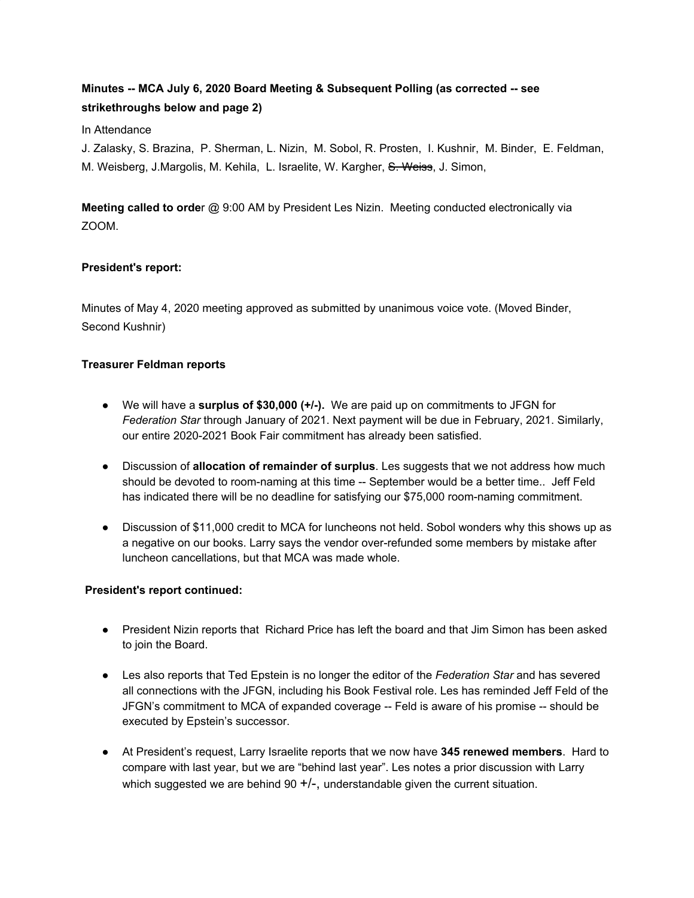# **Minutes -- MCA July 6, 2020 Board Meeting & Subsequent Polling (as corrected -- see strikethroughs below and page 2)**

#### In Attendance

J. Zalasky, S. Brazina, P. Sherman, L. Nizin, M. Sobol, R. Prosten, I. Kushnir, M. Binder, E. Feldman, M. Weisberg, J.Margolis, M. Kehila, L. Israelite, W. Kargher, S. Weiss, J. Simon,

**Meeting called to orde**r @ 9:00 AM by President Les Nizin. Meeting conducted electronically via ZOOM.

## **President's report:**

Minutes of May 4, 2020 meeting approved as submitted by unanimous voice vote. (Moved Binder, Second Kushnir)

## **Treasurer Feldman reports**

- We will have a **surplus of \$30,000 (+/-).** We are paid up on commitments to JFGN for *Federation Star* through January of 2021. Next payment will be due in February, 2021. Similarly, our entire 2020-2021 Book Fair commitment has already been satisfied.
- Discussion of **allocation of remainder of surplus**. Les suggests that we not address how much should be devoted to room-naming at this time -- September would be a better time.. Jeff Feld has indicated there will be no deadline for satisfying our \$75,000 room-naming commitment.
- Discussion of \$11,000 credit to MCA for luncheons not held. Sobol wonders why this shows up as a negative on our books. Larry says the vendor over-refunded some members by mistake after luncheon cancellations, but that MCA was made whole.

## **President's report continued:**

- President Nizin reports that Richard Price has left the board and that Jim Simon has been asked to join the Board.
- Les also reports that Ted Epstein is no longer the editor of the *Federation Star* and has severed all connections with the JFGN, including his Book Festival role. Les has reminded Jeff Feld of the JFGN's commitment to MCA of expanded coverage -- Feld is aware of his promise -- should be executed by Epstein's successor.
- At President's request, Larry Israelite reports that we now have **345 renewed members**. Hard to compare with last year, but we are "behind last year". Les notes a prior discussion with Larry which suggested we are behind 90  $+/-$ , understandable given the current situation.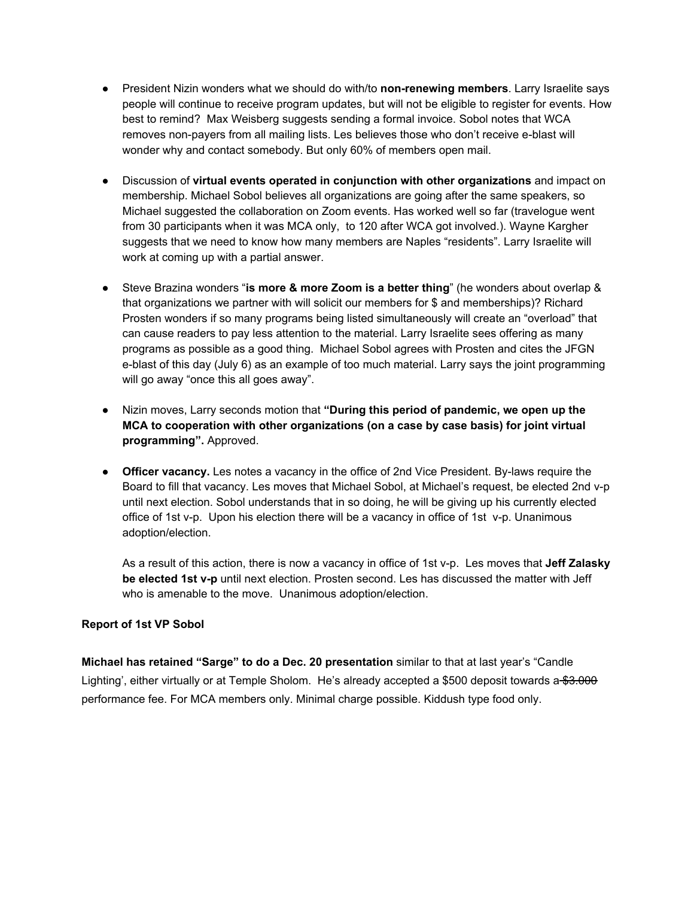- President Nizin wonders what we should do with/to **non-renewing members**. Larry Israelite says people will continue to receive program updates, but will not be eligible to register for events. How best to remind? Max Weisberg suggests sending a formal invoice. Sobol notes that WCA removes non-payers from all mailing lists. Les believes those who don't receive e-blast will wonder why and contact somebody. But only 60% of members open mail.
- Discussion of **virtual events operated in conjunction with other organizations** and impact on membership. Michael Sobol believes all organizations are going after the same speakers, so Michael suggested the collaboration on Zoom events. Has worked well so far (travelogue went from 30 participants when it was MCA only, to 120 after WCA got involved.). Wayne Kargher suggests that we need to know how many members are Naples "residents". Larry Israelite will work at coming up with a partial answer.
- Steve Brazina wonders "**is more & more Zoom is a better thing**" (he wonders about overlap & that organizations we partner with will solicit our members for \$ and memberships)? Richard Prosten wonders if so many programs being listed simultaneously will create an "overload" that can cause readers to pay less attention to the material. Larry Israelite sees offering as many programs as possible as a good thing. Michael Sobol agrees with Prosten and cites the JFGN e-blast of this day (July 6) as an example of too much material. Larry says the joint programming will go away "once this all goes away".
- Nizin moves, Larry seconds motion that **"During this period of pandemic, we open up the MCA to cooperation with other organizations (on a case by case basis) for joint virtual programming".** Approved.
- **● Officer vacancy.** Les notes a vacancy in the office of 2nd Vice President. By-laws require the Board to fill that vacancy. Les moves that Michael Sobol, at Michael's request, be elected 2nd v-p until next election. Sobol understands that in so doing, he will be giving up his currently elected office of 1st v-p. Upon his election there will be a vacancy in office of 1st v-p. Unanimous adoption/election.

As a result of this action, there is now a vacancy in office of 1st v-p. Les moves that **Jeff Zalasky be elected 1st v-p** until next election. Prosten second. Les has discussed the matter with Jeff who is amenable to the move. Unanimous adoption/election.

## **Report of 1st VP Sobol**

**Michael has retained "Sarge" to do a Dec. 20 presentation** similar to that at last year's "Candle Lighting', either virtually or at Temple Sholom. He's already accepted a \$500 deposit towards a \$3.000 performance fee. For MCA members only. Minimal charge possible. Kiddush type food only.